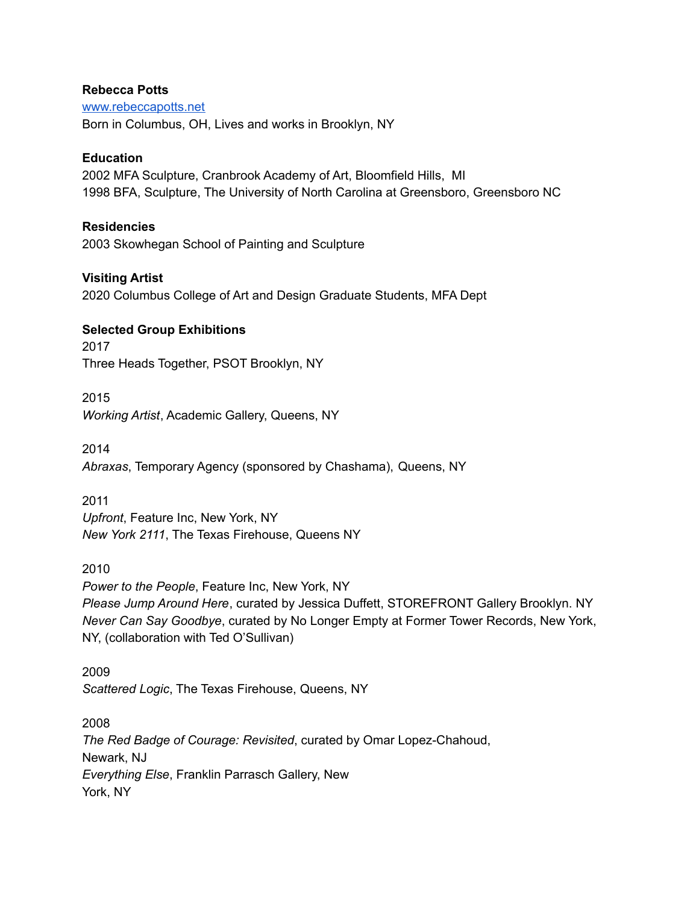#### **Rebecca Potts**

[www.rebeccapotts.net](http://www.rebeccapotts.net) Born in Columbus, OH, Lives and works in Brooklyn, NY

## **Education**

2002 MFA Sculpture, Cranbrook Academy of Art, Bloomfield Hills, MI 1998 BFA, Sculpture, The University of North Carolina at Greensboro, Greensboro NC

### **Residencies**

2003 Skowhegan School of Painting and Sculpture

## **Visiting Artist**

2020 Columbus College of Art and Design Graduate Students, MFA Dept

### **Selected Group Exhibitions**

2017 Three Heads Together, PSOT Brooklyn, NY

2015

*Working Artist*, Academic Gallery, Queens, NY

2014 *Abraxas*, Temporary Agency (sponsored by Chashama), Queens, NY

2011 *Upfront*, Feature Inc, New York, NY *New York 2111*, The Texas Firehouse, Queens NY

2010 *Power to the People*, Feature Inc, New York, NY *Please Jump Around Here*, curated by Jessica Duffett, STOREFRONT Gallery Brooklyn. NY *Never Can Say Goodbye*, curated by No Longer Empty at Former Tower Records, New York, NY, (collaboration with Ted O'Sullivan)

2009 *Scattered Logic*, The Texas Firehouse, Queens, NY

2008 *The Red Badge of Courage: Revisited*, curated by Omar Lopez-Chahoud, Newark, NJ *Everything Else*, Franklin Parrasch Gallery, New York, NY